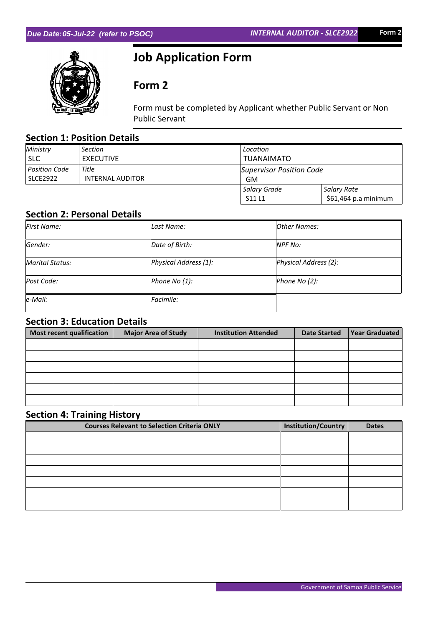

# **Job Application Form**

# **Form 2**

Form must be completed by Applicant whether Public Servant or Non Public Servant

# **Section 1: Position Details**

| Ministry             | Section          | Location                 |                      |  |
|----------------------|------------------|--------------------------|----------------------|--|
| <b>SLC</b>           | <b>EXECUTIVE</b> | <b>TUANAIMATO</b>        |                      |  |
| <b>Position Code</b> | Title            | Supervisor Position Code |                      |  |
| <b>SLCE2922</b>      | INTERNAL AUDITOR | GM                       |                      |  |
|                      |                  | Salary Grade             | Salary Rate          |  |
|                      |                  | S11L1                    | \$61,464 p.a minimum |  |

#### **Section 2: Personal Details**

| First Name:            | Last Name:            | <b>Other Names:</b>   |
|------------------------|-----------------------|-----------------------|
| Gender:                | Date of Birth:        | NPF No:               |
| <b>Marital Status:</b> | Physical Address (1): | Physical Address (2): |
| Post Code:             | Phone No (1):         | Phone No (2):         |
| $ e$ -Mail:            | Facimile:             |                       |

## **Section 3: Education Details**

| Most recent qualification | <b>Major Area of Study</b> | <b>Institution Attended</b> | <b>Date Started</b> | <b>Year Graduated</b> |
|---------------------------|----------------------------|-----------------------------|---------------------|-----------------------|
|                           |                            |                             |                     |                       |
|                           |                            |                             |                     |                       |
|                           |                            |                             |                     |                       |
|                           |                            |                             |                     |                       |
|                           |                            |                             |                     |                       |
|                           |                            |                             |                     |                       |

# **Section 4: Training History**

| <b>Courses Relevant to Selection Criteria ONLY</b> | Institution/Country | <b>Dates</b> |
|----------------------------------------------------|---------------------|--------------|
|                                                    |                     |              |
|                                                    |                     |              |
|                                                    |                     |              |
|                                                    |                     |              |
|                                                    |                     |              |
|                                                    |                     |              |
|                                                    |                     |              |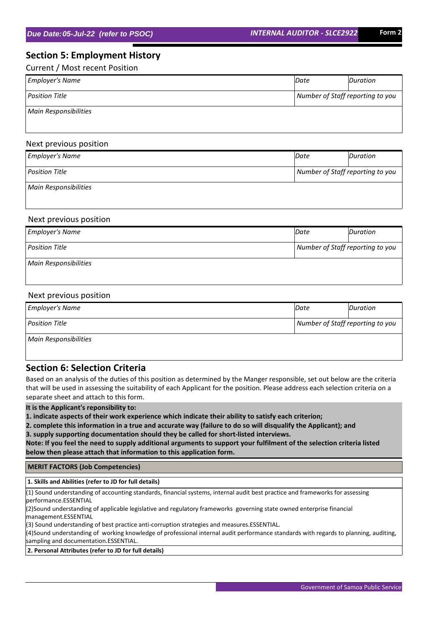## **Section 5: Employment History**

Current / Most recent Position

| <b>Employer's Name</b> | Date                             | Duration |
|------------------------|----------------------------------|----------|
| <b>Position Title</b>  | Number of Staff reporting to you |          |
| Main Responsibilities  |                                  |          |

#### Next previous position

| <b>Employer's Name</b> | Date | Duration                         |  |
|------------------------|------|----------------------------------|--|
| <b>Position Title</b>  |      | Number of Staff reporting to you |  |
| Main Responsibilities  |      |                                  |  |

#### Next previous position

| <b>Employer's Name</b> | Date                             | Duration |
|------------------------|----------------------------------|----------|
| Position Title         | Number of Staff reporting to you |          |
| Main Responsibilities  |                                  |          |

#### Next previous position

| <b>Employer's Name</b>       | Date                             | Duration |
|------------------------------|----------------------------------|----------|
| <b>Position Title</b>        | Number of Staff reporting to you |          |
| <b>Main Responsibilities</b> |                                  |          |

#### **Section 6: Selection Criteria**

Based on an analysis of the duties of this position as determined by the Manger responsible, set out below are the criteria that will be used in assessing the suitability of each Applicant for the position. Please address each selection criteria on a separate sheet and attach to this form.

**It is the Applicant's reponsibility to:**

**1. indicate aspects of their work experience which indicate their ability to satisfy each criterion;**

**2. complete this information in a true and accurate way (failure to do so will disqualify the Applicant); and 3. supply supporting documentation should they be called for short-listed interviews.**

**Note: If you feel the need to supply additional arguments to support your fulfilment of the selection criteria listed below then please attach that information to this application form.**

 **MERIT FACTORS (Job Competencies)**

 **1. Skills and Abilities (refer to JD for full details)**

(1) Sound understanding of accounting standards, financial systems, internal audit best practice and frameworks for assessing performance.ESSENTIAL

(2)Sound understanding of applicable legislative and regulatory frameworks governing state owned enterprise financial management.ESSENTIAL

(3) Sound understanding of best practice anti-corruption strategies and measures.ESSENTIAL.

(4)Sound understanding of working knowledge of professional internal audit performance standards with regards to planning, auditing, sampling and documentation.ESSENTIAL.

#### **2. Personal Attributes (refer to JD for full details)**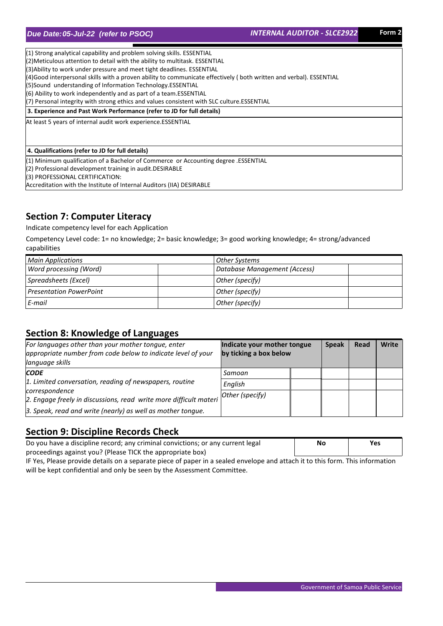(1) Strong analytical capability and problem solving skills. ESSENTIAL (2)Meticulous attention to detail with the ability to multitask. ESSENTIAL (3)Ability to work under pressure and meet tight deadlines. ESSENTIAL (4)Good interpersonal skills with a proven ability to communicate effectively ( both written and verbal). ESSENTIAL (5)Sound understanding of Information Technology.ESSENTIAL (6) Ability to work independently and as part of a team.ESSENTIAL (7) Personal integrity with strong ethics and values consistent with SLC culture.ESSENTIAL

 **3. Experience and Past Work Performance (refer to JD for full details)**

At least 5 years of internal audit work experience.ESSENTIAL

#### **4. Qualifications (refer to JD for full details)**

(1) Minimum qualification of a Bachelor of Commerce or Accounting degree .ESSENTIAL

(2) Professional development training in audit.DESIRABLE

(3) PROFESSIONAL CERTIFICATION:

Accreditation with the Institute of Internal Auditors (IIA) DESIRABLE

### **Section 7: Computer Literacy**

Indicate competency level for each Application

Competency Level code: 1= no knowledge; 2= basic knowledge; 3= good working knowledge; 4= strong/advanced capabilities

| <b>Main Applications</b>       | Other Systems                |
|--------------------------------|------------------------------|
| Word processing (Word)         | Database Management (Access) |
| Spreadsheets (Excel)           | Other (specify)              |
| <b>Presentation PowerPoint</b> | Other (specify)              |
| E-mail                         | Other (specify)              |

#### **Section 8: Knowledge of Languages**

| For languages other than your mother tongue, enter<br>appropriate number from code below to indicate level of your<br>language skills | Indicate your mother tongue<br>by ticking a box below | <b>Speak</b> | Read | <b>Write</b> |
|---------------------------------------------------------------------------------------------------------------------------------------|-------------------------------------------------------|--------------|------|--------------|
| <b>CODE</b>                                                                                                                           | Samoan                                                |              |      |              |
| 1. Limited conversation, reading of newspapers, routine                                                                               | English                                               |              |      |              |
| correspondence<br>2. Engage freely in discussions, read write more difficult materi                                                   | Other (specify)                                       |              |      |              |
| 3. Speak, read and write (nearly) as well as mother tongue.                                                                           |                                                       |              |      |              |

### **Section 9: Discipline Records Check**

| Do you have a discipline record; any criminal convictions; or any current legal | No | Yes |
|---------------------------------------------------------------------------------|----|-----|
| proceedings against you? (Please TICK the appropriate box)                      |    |     |

IF Yes, Please provide details on a separate piece of paper in a sealed envelope and attach it to this form. This information will be kept confidential and only be seen by the Assessment Committee.